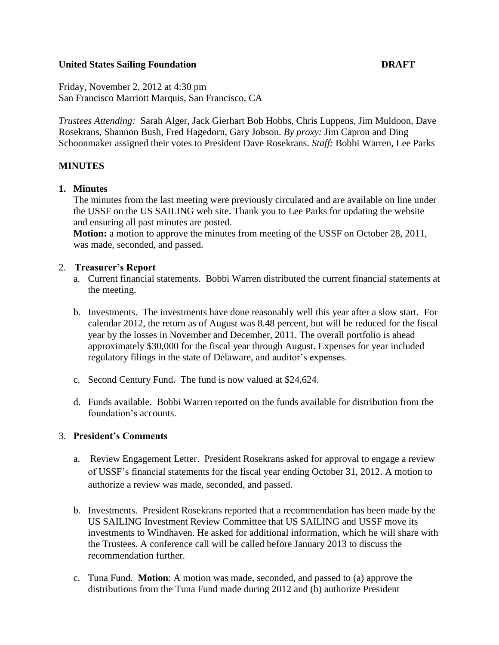## **United States Sailing Foundation DRAFT**

Friday, November 2, 2012 at 4:30 pm San Francisco Marriott Marquis, San Francisco, CA

*Trustees Attending:* Sarah Alger, Jack Gierhart Bob Hobbs, Chris Luppens, Jim Muldoon, Dave Rosekrans, Shannon Bush, Fred Hagedorn, Gary Jobson. *By proxy:* Jim Capron and Ding Schoonmaker assigned their votes to President Dave Rosekrans. *Staff:* Bobbi Warren, Lee Parks

## **MINUTES**

## **1. Minutes**

The minutes from the last meeting were previously circulated and are available on line under the USSF on the US SAILING web site. Thank you to Lee Parks for updating the website and ensuring all past minutes are posted.

**Motion:** a motion to approve the minutes from meeting of the USSF on October 28, 2011, was made, seconded, and passed.

#### 2. **Treasurer's Report**

- a. Current financial statements. Bobbi Warren distributed the current financial statements at the meeting.
- b. Investments. The investments have done reasonably well this year after a slow start. For calendar 2012, the return as of August was 8.48 percent, but will be reduced for the fiscal year by the losses in November and December, 2011. The overall portfolio is ahead approximately \$30,000 for the fiscal year through August. Expenses for year included regulatory filings in the state of Delaware, and auditor's expenses.
- c. Second Century Fund. The fund is now valued at \$24,624.
- d. Funds available. Bobbi Warren reported on the funds available for distribution from the foundation's accounts.

## 3. **President's Comments**

- a. Review Engagement Letter. President Rosekrans asked for approval to engage a review of USSF's financial statements for the fiscal year ending October 31, 2012. A motion to authorize a review was made, seconded, and passed.
- b. Investments. President Rosekrans reported that a recommendation has been made by the US SAILING Investment Review Committee that US SAILING and USSF move its investments to Windhaven. He asked for additional information, which he will share with the Trustees. A conference call will be called before January 2013 to discuss the recommendation further.
- c. Tuna Fund. **Motion**: A motion was made, seconded, and passed to (a) approve the distributions from the Tuna Fund made during 2012 and (b) authorize President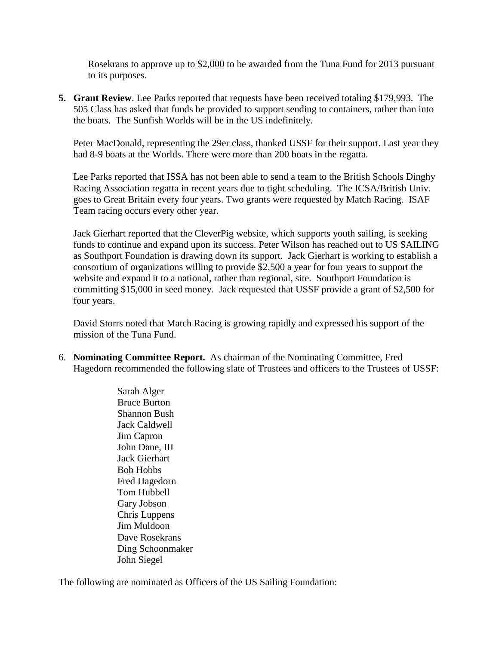Rosekrans to approve up to \$2,000 to be awarded from the Tuna Fund for 2013 pursuant to its purposes.

**5. Grant Review**. Lee Parks reported that requests have been received totaling \$179,993. The 505 Class has asked that funds be provided to support sending to containers, rather than into the boats. The Sunfish Worlds will be in the US indefinitely.

Peter MacDonald, representing the 29er class, thanked USSF for their support. Last year they had 8-9 boats at the Worlds. There were more than 200 boats in the regatta.

Lee Parks reported that ISSA has not been able to send a team to the British Schools Dinghy Racing Association regatta in recent years due to tight scheduling. The ICSA/British Univ. goes to Great Britain every four years. Two grants were requested by Match Racing. ISAF Team racing occurs every other year.

Jack Gierhart reported that the CleverPig website, which supports youth sailing, is seeking funds to continue and expand upon its success. Peter Wilson has reached out to US SAILING as Southport Foundation is drawing down its support. Jack Gierhart is working to establish a consortium of organizations willing to provide \$2,500 a year for four years to support the website and expand it to a national, rather than regional, site. Southport Foundation is committing \$15,000 in seed money. Jack requested that USSF provide a grant of \$2,500 for four years.

David Storrs noted that Match Racing is growing rapidly and expressed his support of the mission of the Tuna Fund.

6. **Nominating Committee Report.** As chairman of the Nominating Committee, Fred Hagedorn recommended the following slate of Trustees and officers to the Trustees of USSF:

> Sarah Alger Bruce Burton Shannon Bush Jack Caldwell Jim Capron John Dane, III Jack Gierhart Bob Hobbs Fred Hagedorn Tom Hubbell Gary Jobson Chris Luppens Jim Muldoon Dave Rosekrans Ding Schoonmaker John Siegel

The following are nominated as Officers of the US Sailing Foundation: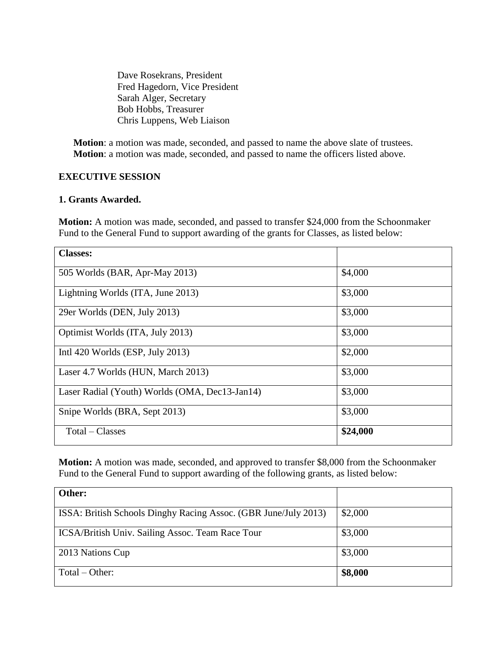Dave Rosekrans, President Fred Hagedorn, Vice President Sarah Alger, Secretary Bob Hobbs, Treasurer Chris Luppens, Web Liaison

**Motion**: a motion was made, seconded, and passed to name the above slate of trustees. **Motion**: a motion was made, seconded, and passed to name the officers listed above.

## **EXECUTIVE SESSION**

## **1. Grants Awarded.**

**Motion:** A motion was made, seconded, and passed to transfer \$24,000 from the Schoonmaker Fund to the General Fund to support awarding of the grants for Classes, as listed below:

| <b>Classes:</b>                                |          |
|------------------------------------------------|----------|
| 505 Worlds (BAR, Apr-May 2013)                 | \$4,000  |
| Lightning Worlds (ITA, June 2013)              | \$3,000  |
| 29er Worlds (DEN, July 2013)                   | \$3,000  |
| Optimist Worlds (ITA, July 2013)               | \$3,000  |
| Intl $420$ Worlds (ESP, July 2013)             | \$2,000  |
| Laser 4.7 Worlds (HUN, March 2013)             | \$3,000  |
| Laser Radial (Youth) Worlds (OMA, Dec13-Jan14) | \$3,000  |
| Snipe Worlds (BRA, Sept 2013)                  | \$3,000  |
| Total – Classes                                | \$24,000 |

**Motion:** A motion was made, seconded, and approved to transfer \$8,000 from the Schoonmaker Fund to the General Fund to support awarding of the following grants, as listed below:

| Other:                                                          |         |
|-----------------------------------------------------------------|---------|
| ISSA: British Schools Dinghy Racing Assoc. (GBR June/July 2013) | \$2,000 |
| ICSA/British Univ. Sailing Assoc. Team Race Tour                | \$3,000 |
| 2013 Nations Cup                                                | \$3,000 |
| $Total - Other:$                                                | \$8,000 |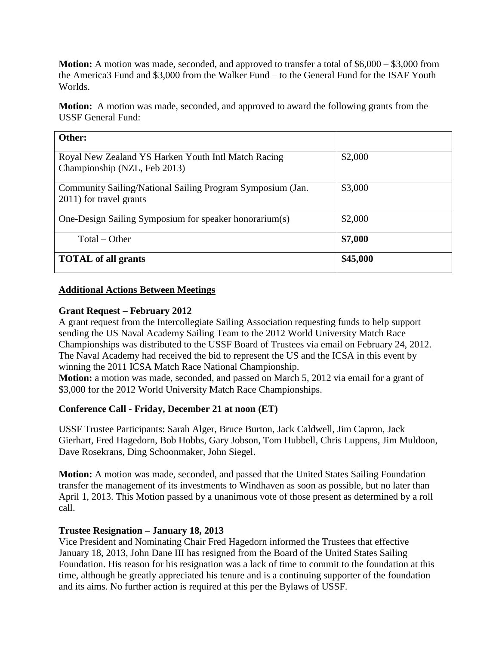**Motion:** A motion was made, seconded, and approved to transfer a total of \$6,000 – \$3,000 from the America3 Fund and \$3,000 from the Walker Fund – to the General Fund for the ISAF Youth Worlds.

**Motion:** A motion was made, seconded, and approved to award the following grants from the USSF General Fund:

| Other:                                                                                |          |
|---------------------------------------------------------------------------------------|----------|
| Royal New Zealand YS Harken Youth Intl Match Racing<br>Championship (NZL, Feb 2013)   | \$2,000  |
| Community Sailing/National Sailing Program Symposium (Jan.<br>2011) for travel grants | \$3,000  |
| One-Design Sailing Symposium for speaker honorarium(s)                                | \$2,000  |
| $Total - Other$                                                                       | \$7,000  |
| <b>TOTAL</b> of all grants                                                            | \$45,000 |

## **Additional Actions Between Meetings**

## **Grant Request – February 2012**

A grant request from the Intercollegiate Sailing Association requesting funds to help support sending the US Naval Academy Sailing Team to the 2012 World University Match Race Championships was distributed to the USSF Board of Trustees via email on February 24, 2012. The Naval Academy had received the bid to represent the US and the ICSA in this event by winning the 2011 ICSA Match Race National Championship.

**Motion:** a motion was made, seconded, and passed on March 5, 2012 via email for a grant of \$3,000 for the 2012 World University Match Race Championships.

# **Conference Call - Friday, December 21 at noon (ET)**

USSF Trustee Participants: Sarah Alger, Bruce Burton, Jack Caldwell, Jim Capron, Jack Gierhart, Fred Hagedorn, Bob Hobbs, Gary Jobson, Tom Hubbell, Chris Luppens, Jim Muldoon, Dave Rosekrans, Ding Schoonmaker, John Siegel.

**Motion:** A motion was made, seconded, and passed that the United States Sailing Foundation transfer the management of its investments to Windhaven as soon as possible, but no later than April 1, 2013. This Motion passed by a unanimous vote of those present as determined by a roll call.

# **Trustee Resignation – January 18, 2013**

Vice President and Nominating Chair Fred Hagedorn informed the Trustees that effective January 18, 2013, John Dane III has resigned from the Board of the United States Sailing Foundation. His reason for his resignation was a lack of time to commit to the foundation at this time, although he greatly appreciated his tenure and is a continuing supporter of the foundation and its aims. No further action is required at this per the Bylaws of USSF.